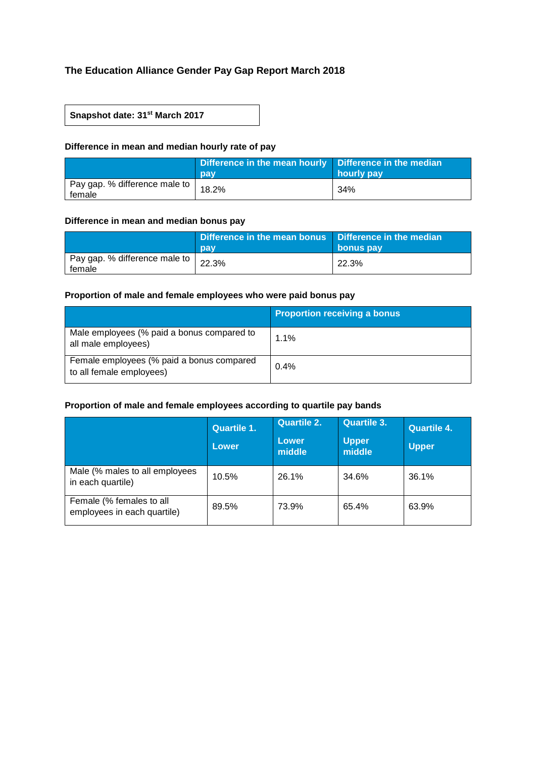# **The Education Alliance Gender Pay Gap Report March 2018**

## **Snapshot date: 31st March 2017**

## **Difference in mean and median hourly rate of pay**

|                                           | Difference in the mean hourly Difference in the median<br>pay | hourly pay |
|-------------------------------------------|---------------------------------------------------------------|------------|
| Pay gap. % difference male to  <br>female | 18.2%                                                         | 34%        |

#### **Difference in mean and median bonus pay**

|                                         | Difference in the mean bonus Difference in the median<br>pay | bonus pay |
|-----------------------------------------|--------------------------------------------------------------|-----------|
| Pay gap. % difference male to<br>female | 22.3%                                                        | 22.3%     |

## **Proportion of male and female employees who were paid bonus pay**

|                                                                       | <b>Proportion receiving a bonus</b> |
|-----------------------------------------------------------------------|-------------------------------------|
| Male employees (% paid a bonus compared to<br>all male employees)     | $1.1\%$                             |
| Female employees (% paid a bonus compared<br>to all female employees) | 0.4%                                |

## **Proportion of male and female employees according to quartile pay bands**

|                                                         | <b>Quartile 1.</b><br>Lower | <b>Quartile 2.</b><br>Lower<br>middle | Quartile 3.<br><b>Upper</b><br>middle | <b>Quartile 4.</b><br><b>Upper</b> |
|---------------------------------------------------------|-----------------------------|---------------------------------------|---------------------------------------|------------------------------------|
| Male (% males to all employees<br>in each quartile)     | 10.5%                       | 26.1%                                 | 34.6%                                 | 36.1%                              |
| Female (% females to all<br>employees in each quartile) | 89.5%                       | 73.9%                                 | 65.4%                                 | 63.9%                              |